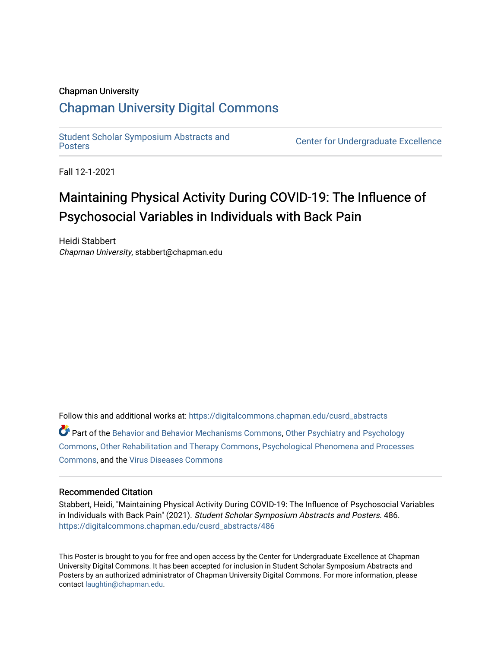### Chapman University

### [Chapman University Digital Commons](https://digitalcommons.chapman.edu/)

[Student Scholar Symposium Abstracts and](https://digitalcommons.chapman.edu/cusrd_abstracts) 

**Center for Undergraduate Excellence** 

Fall 12-1-2021

## Maintaining Physical Activity During COVID-19: The Influence of Psychosocial Variables in Individuals with Back Pain

Heidi Stabbert Chapman University, stabbert@chapman.edu

Follow this and additional works at: [https://digitalcommons.chapman.edu/cusrd\\_abstracts](https://digitalcommons.chapman.edu/cusrd_abstracts?utm_source=digitalcommons.chapman.edu%2Fcusrd_abstracts%2F486&utm_medium=PDF&utm_campaign=PDFCoverPages) 

Part of the [Behavior and Behavior Mechanisms Commons,](http://network.bepress.com/hgg/discipline/963?utm_source=digitalcommons.chapman.edu%2Fcusrd_abstracts%2F486&utm_medium=PDF&utm_campaign=PDFCoverPages) [Other Psychiatry and Psychology](http://network.bepress.com/hgg/discipline/992?utm_source=digitalcommons.chapman.edu%2Fcusrd_abstracts%2F486&utm_medium=PDF&utm_campaign=PDFCoverPages)  [Commons](http://network.bepress.com/hgg/discipline/992?utm_source=digitalcommons.chapman.edu%2Fcusrd_abstracts%2F486&utm_medium=PDF&utm_campaign=PDFCoverPages), [Other Rehabilitation and Therapy Commons](http://network.bepress.com/hgg/discipline/758?utm_source=digitalcommons.chapman.edu%2Fcusrd_abstracts%2F486&utm_medium=PDF&utm_campaign=PDFCoverPages), [Psychological Phenomena and Processes](http://network.bepress.com/hgg/discipline/914?utm_source=digitalcommons.chapman.edu%2Fcusrd_abstracts%2F486&utm_medium=PDF&utm_campaign=PDFCoverPages) [Commons](http://network.bepress.com/hgg/discipline/914?utm_source=digitalcommons.chapman.edu%2Fcusrd_abstracts%2F486&utm_medium=PDF&utm_campaign=PDFCoverPages), and the [Virus Diseases Commons](http://network.bepress.com/hgg/discipline/998?utm_source=digitalcommons.chapman.edu%2Fcusrd_abstracts%2F486&utm_medium=PDF&utm_campaign=PDFCoverPages) 

#### Recommended Citation

Stabbert, Heidi, "Maintaining Physical Activity During COVID-19: The Influence of Psychosocial Variables in Individuals with Back Pain" (2021). Student Scholar Symposium Abstracts and Posters. 486. [https://digitalcommons.chapman.edu/cusrd\\_abstracts/486](https://digitalcommons.chapman.edu/cusrd_abstracts/486?utm_source=digitalcommons.chapman.edu%2Fcusrd_abstracts%2F486&utm_medium=PDF&utm_campaign=PDFCoverPages) 

This Poster is brought to you for free and open access by the Center for Undergraduate Excellence at Chapman University Digital Commons. It has been accepted for inclusion in Student Scholar Symposium Abstracts and Posters by an authorized administrator of Chapman University Digital Commons. For more information, please contact [laughtin@chapman.edu](mailto:laughtin@chapman.edu).